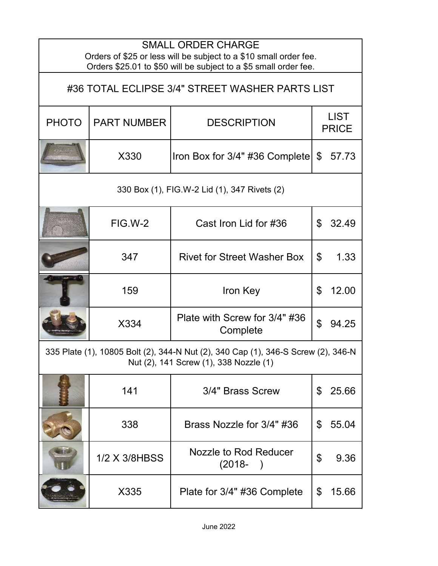| <b>SMALL ORDER CHARGE</b><br>Orders of \$25 or less will be subject to a \$10 small order fee.<br>Orders \$25.01 to \$50 will be subject to a \$5 small order fee. |                    |                                           |                             |       |
|--------------------------------------------------------------------------------------------------------------------------------------------------------------------|--------------------|-------------------------------------------|-----------------------------|-------|
| #36 TOTAL ECLIPSE 3/4" STREET WASHER PARTS LIST                                                                                                                    |                    |                                           |                             |       |
| <b>PHOTO</b>                                                                                                                                                       | <b>PART NUMBER</b> | <b>DESCRIPTION</b>                        | <b>LIST</b><br><b>PRICE</b> |       |
|                                                                                                                                                                    | X330               | Iron Box for $3/4$ " #36 Complete         | $\mathfrak{L}$              | 57.73 |
| 330 Box (1), FIG.W-2 Lid (1), 347 Rivets (2)                                                                                                                       |                    |                                           |                             |       |
|                                                                                                                                                                    | FIG.W-2            | Cast Iron Lid for #36                     | $\mathfrak{L}$              | 32.49 |
|                                                                                                                                                                    | 347                | <b>Rivet for Street Washer Box</b>        | \$                          | 1.33  |
|                                                                                                                                                                    | 159                | Iron Key                                  | \$                          | 12.00 |
|                                                                                                                                                                    | X334               | Plate with Screw for 3/4" #36<br>Complete | $\mathfrak{L}$              | 94.25 |
| 335 Plate (1), 10805 Bolt (2), 344-N Nut (2), 340 Cap (1), 346-S Screw (2), 346-N<br>Nut (2), 141 Screw (1), 338 Nozzle (1)                                        |                    |                                           |                             |       |
|                                                                                                                                                                    | 141                | 3/4" Brass Screw                          | \$                          | 25.66 |
|                                                                                                                                                                    | 338                | Brass Nozzle for 3/4" #36                 | \$                          | 55.04 |
|                                                                                                                                                                    | 1/2 X 3/8HBSS      | Nozzle to Rod Reducer<br>$(2018 -$        | \$                          | 9.36  |
|                                                                                                                                                                    | X335               | Plate for 3/4" #36 Complete               | \$                          | 15.66 |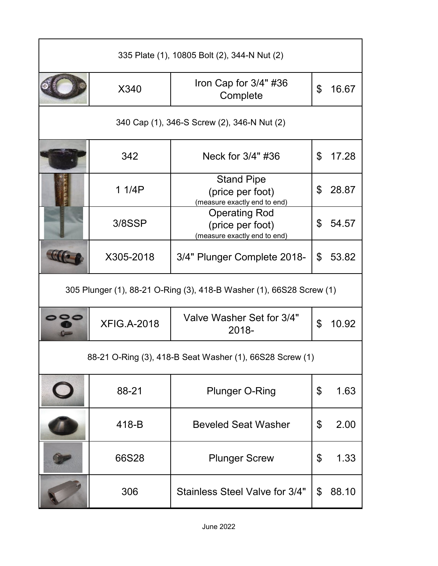| 335 Plate (1), 10805 Bolt (2), 344-N Nut (2)                         |                    |                                                                          |    |       |
|----------------------------------------------------------------------|--------------------|--------------------------------------------------------------------------|----|-------|
|                                                                      | X340               | Iron Cap for 3/4" #36<br>Complete                                        | \$ | 16.67 |
| 340 Cap (1), 346-S Screw (2), 346-N Nut (2)                          |                    |                                                                          |    |       |
|                                                                      | 342                | Neck for 3/4" #36                                                        | \$ | 17.28 |
|                                                                      | 1 1/4P             | <b>Stand Pipe</b><br>(price per foot)<br>(measure exactly end to end)    | \$ | 28.87 |
|                                                                      | 3/8SSP             | <b>Operating Rod</b><br>(price per foot)<br>(measure exactly end to end) | \$ | 54.57 |
|                                                                      | X305-2018          | 3/4" Plunger Complete 2018-                                              | \$ | 53.82 |
| 305 Plunger (1), 88-21 O-Ring (3), 418-B Washer (1), 66S28 Screw (1) |                    |                                                                          |    |       |
|                                                                      | <b>XFIG.A-2018</b> | Valve Washer Set for 3/4"<br>2018-                                       | \$ | 10.92 |
| 88-21 O-Ring (3), 418-B Seat Washer (1), 66S28 Screw (1)             |                    |                                                                          |    |       |
|                                                                      | 88-21              | <b>Plunger O-Ring</b>                                                    | \$ | 1.63  |
|                                                                      | 418-B              | <b>Beveled Seat Washer</b>                                               | \$ | 2.00  |
|                                                                      | 66S28              | <b>Plunger Screw</b>                                                     | \$ | 1.33  |
|                                                                      | 306                | Stainless Steel Valve for 3/4"                                           | \$ | 88.10 |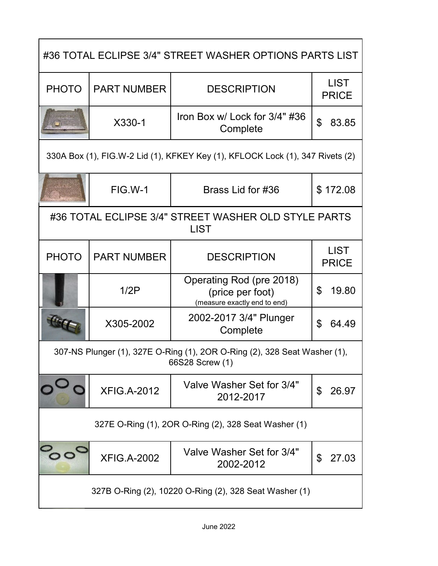| #36 TOTAL ECLIPSE 3/4" STREET WASHER OPTIONS PARTS LIST                                      |                    |                                                                              |                             |  |
|----------------------------------------------------------------------------------------------|--------------------|------------------------------------------------------------------------------|-----------------------------|--|
| <b>PHOTO</b>                                                                                 | <b>PART NUMBER</b> | <b>DESCRIPTION</b>                                                           | <b>LIST</b><br><b>PRICE</b> |  |
|                                                                                              | X330-1             | Iron Box w/ Lock for 3/4" #36<br>Complete                                    | $\mathfrak{L}$<br>83.85     |  |
| 330A Box (1), FIG.W-2 Lid (1), KFKEY Key (1), KFLOCK Lock (1), 347 Rivets (2)                |                    |                                                                              |                             |  |
|                                                                                              | FIG.W-1            | Brass Lid for #36                                                            | \$172.08                    |  |
| #36 TOTAL ECLIPSE 3/4" STREET WASHER OLD STYLE PARTS<br><b>LIST</b>                          |                    |                                                                              |                             |  |
| <b>PHOTO</b>                                                                                 | <b>PART NUMBER</b> | <b>DESCRIPTION</b>                                                           | <b>LIST</b><br><b>PRICE</b> |  |
|                                                                                              | 1/2P               | Operating Rod (pre 2018)<br>(price per foot)<br>(measure exactly end to end) | 19.80<br>\$                 |  |
|                                                                                              | X305-2002          | 2002-2017 3/4" Plunger<br>Complete                                           | \$<br>64.49                 |  |
| 307-NS Plunger (1), 327E O-Ring (1), 2OR O-Ring (2), 328 Seat Washer (1),<br>66S28 Screw (1) |                    |                                                                              |                             |  |
|                                                                                              | <b>XFIG.A-2012</b> | Valve Washer Set for 3/4"<br>2012-2017                                       | \$<br>26.97                 |  |
| 327E O-Ring (1), 2OR O-Ring (2), 328 Seat Washer (1)                                         |                    |                                                                              |                             |  |
|                                                                                              | <b>XFIG.A-2002</b> | Valve Washer Set for 3/4"<br>2002-2012                                       | \$<br>27.03                 |  |
| 327B O-Ring (2), 10220 O-Ring (2), 328 Seat Washer (1)                                       |                    |                                                                              |                             |  |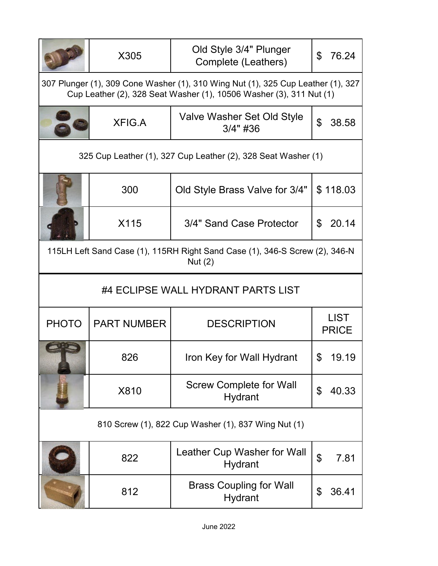|                                                                                                                                                         | X305               | Old Style 3/4" Plunger<br>Complete (Leathers)       | \$<br>76.24                       |  |
|---------------------------------------------------------------------------------------------------------------------------------------------------------|--------------------|-----------------------------------------------------|-----------------------------------|--|
| 307 Plunger (1), 309 Cone Washer (1), 310 Wing Nut (1), 325 Cup Leather (1), 327<br>Cup Leather (2), 328 Seat Washer (1), 10506 Washer (3), 311 Nut (1) |                    |                                                     |                                   |  |
|                                                                                                                                                         | <b>XFIG.A</b>      | Valve Washer Set Old Style<br>$3/4"$ #36            | \$<br>38.58                       |  |
| 325 Cup Leather (1), 327 Cup Leather (2), 328 Seat Washer (1)                                                                                           |                    |                                                     |                                   |  |
|                                                                                                                                                         | 300                | Old Style Brass Valve for 3/4"                      | \$118.03                          |  |
|                                                                                                                                                         | X115               | 3/4" Sand Case Protector                            | 20.14<br>\$                       |  |
| 115LH Left Sand Case (1), 115RH Right Sand Case (1), 346-S Screw (2), 346-N<br>Nut $(2)$                                                                |                    |                                                     |                                   |  |
| #4 ECLIPSE WALL HYDRANT PARTS LIST                                                                                                                      |                    |                                                     |                                   |  |
|                                                                                                                                                         |                    |                                                     |                                   |  |
| <b>PHOTO</b>                                                                                                                                            | <b>PART NUMBER</b> | <b>DESCRIPTION</b>                                  | <b>LIST</b><br><b>PRICE</b>       |  |
|                                                                                                                                                         | 826                | Iron Key for Wall Hydrant                           | 19.19                             |  |
|                                                                                                                                                         | X810               | <b>Screw Complete for Wall</b><br><b>Hydrant</b>    | \$<br>40.33                       |  |
|                                                                                                                                                         |                    | 810 Screw (1), 822 Cup Washer (1), 837 Wing Nut (1) |                                   |  |
|                                                                                                                                                         | 822                | Leather Cup Washer for Wall<br><b>Hydrant</b>       | $\boldsymbol{\mathsf{S}}$<br>7.81 |  |